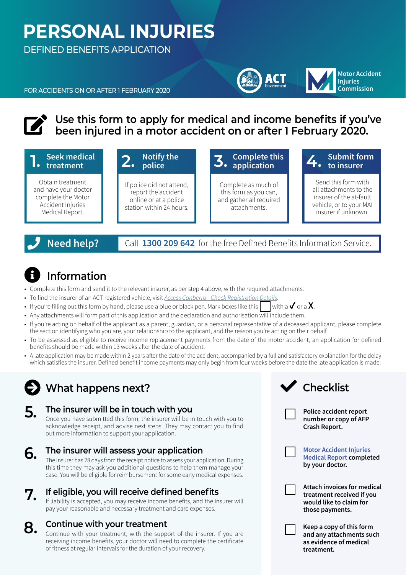# **PERSONAL INJURIES**

DEFINED BENEFITS APPLICATION

FOR ACCIDENTS ON OR AFTER 1 FEBRUARY 2020

### Use this form to apply for medical and income benefits if you've benefits fou've<br>Deen injured in a motor accident on or after 1 February 2020. **been injured in a motor accident on or after 1 February 2020.**



### **Need help?** Call **[1300 209 642](tel:1300209642 )** for the free Defined Benefits Information Service.

#### $\boldsymbol{\Theta}$ **Information**

- Complete this form and send it to the relevant insurer, as per step 4 above, with the required attachments.
- To find the insurer of an ACT registered vehicle, visit *[Access Canberra Check Registration Details](https://rego.act.gov.au/regosoawicket/public/reg/FindRegistrationPage?0)*.
- If you're filling out this form by hand, please use a blue or black pen. Mark boxes like this  $\mathbf{v}$  with a  $\mathbf{v}$  or a  $\mathbf{X}$ .
- Any attachments will form part of this application and the declaration and authorisation will include them.
- If you're acting on behalf of the applicant as a parent, guardian, or a personal representative of a deceased applicant, please complete the section identifying who you are, your relationship to the applicant, and the reason you're acting on their behalf.
- To be assessed as eligible to receive income replacement payments from the date of the motor accident, an application for defined benefits should be made within 13 weeks after the date of accident.
- A late application may be made within 2 years after the date of the accident, accompanied by a full and satisfactory explanation for the delay which satisfies the insurer. Defined benefit income payments may only begin from four weeks before the date the late application is made.

## ◆ What happens next?

#### **5. The insurer will be in touch with you**

Once you have submitted this form, the insurer will be in touch with you to acknowledge receipt, and advise next steps. They may contact you to find out more information to support your application.

case. You will be eligible for reimbursement for some early medical expenses.

- **6. The insurer will assess your application** The insurer has 28 days from the receipt notice to assess your application. During this time they may ask you additional questions to help them manage your
- **7. If eligible, you will receive defined benefits** If liability is accepted, you may receive income benefits, and the insurer will pay your reasonable and necessary treatment and care expenses.

#### **8. Continue with your treatment**

Continue with your treatment, with the support of the insurer. If you are receiving income benefits, your doctor will need to complete the certificate of fitness at regular intervals for the duration of your recovery.



**Police accident report number or copy of AFP Crash Report.** 



**Motor Accident Injuries Medical Report completed by your doctor.**

**Motor Accident Injuries Commission**

**ACT** 

**Attach invoices for medical treatment received if you would like to claim for those payments.**

**Keep a copy of this form and any attachments such as evidence of medical treatment.**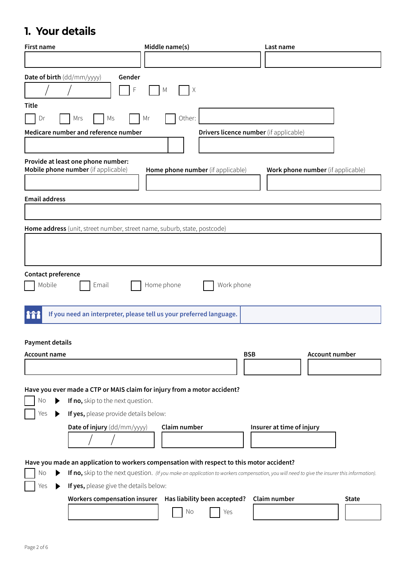### **1. Your details**

| <b>First name</b>                                                                         | Middle name(s)                                                                                                                              | Last name                         |  |  |
|-------------------------------------------------------------------------------------------|---------------------------------------------------------------------------------------------------------------------------------------------|-----------------------------------|--|--|
|                                                                                           |                                                                                                                                             |                                   |  |  |
| Date of birth (dd/mm/yyyy)<br>Gender                                                      |                                                                                                                                             |                                   |  |  |
| F                                                                                         | Χ<br>M                                                                                                                                      |                                   |  |  |
| <b>Title</b>                                                                              |                                                                                                                                             |                                   |  |  |
| Mrs<br>Ms<br>Dr                                                                           | Other:<br>Mr                                                                                                                                |                                   |  |  |
| Medicare number and reference number                                                      | Drivers licence number (if applicable)                                                                                                      |                                   |  |  |
|                                                                                           |                                                                                                                                             |                                   |  |  |
| Provide at least one phone number:<br>Mobile phone number (if applicable)                 | Home phone number (if applicable)                                                                                                           | Work phone number (if applicable) |  |  |
|                                                                                           |                                                                                                                                             |                                   |  |  |
| <b>Email address</b>                                                                      |                                                                                                                                             |                                   |  |  |
|                                                                                           |                                                                                                                                             |                                   |  |  |
| Home address (unit, street number, street name, suburb, state, postcode)                  |                                                                                                                                             |                                   |  |  |
|                                                                                           |                                                                                                                                             |                                   |  |  |
|                                                                                           |                                                                                                                                             |                                   |  |  |
|                                                                                           |                                                                                                                                             |                                   |  |  |
| Contact preference                                                                        |                                                                                                                                             |                                   |  |  |
| Mobile<br>Email                                                                           | Home phone<br>Work phone                                                                                                                    |                                   |  |  |
|                                                                                           |                                                                                                                                             |                                   |  |  |
| 888                                                                                       | If you need an interpreter, please tell us your preferred language.                                                                         |                                   |  |  |
|                                                                                           |                                                                                                                                             |                                   |  |  |
| <b>Payment details</b>                                                                    |                                                                                                                                             |                                   |  |  |
| <b>Account name</b>                                                                       | <b>BSB</b>                                                                                                                                  | <b>Account number</b>             |  |  |
|                                                                                           |                                                                                                                                             |                                   |  |  |
|                                                                                           |                                                                                                                                             |                                   |  |  |
| Have you ever made a CTP or MAIS claim for injury from a motor accident?                  |                                                                                                                                             |                                   |  |  |
| If no, skip to the next question.<br>No<br>▶                                              |                                                                                                                                             |                                   |  |  |
| If yes, please provide details below:<br>Yes                                              |                                                                                                                                             |                                   |  |  |
| Date of injury (dd/mm/yyyy)                                                               | Claim number                                                                                                                                | Insurer at time of injury         |  |  |
|                                                                                           |                                                                                                                                             |                                   |  |  |
| Have you made an application to workers compensation with respect to this motor accident? |                                                                                                                                             |                                   |  |  |
| No                                                                                        | If no, skip to the next question. (If you make an application to workers compensation, you will need to give the insurer this information). |                                   |  |  |
| If yes, please give the details below:<br>Yes                                             |                                                                                                                                             |                                   |  |  |
| <b>Workers compensation insurer</b>                                                       | Has liability been accepted?                                                                                                                | Claim number<br><b>State</b>      |  |  |
|                                                                                           | No<br>Yes                                                                                                                                   |                                   |  |  |
|                                                                                           |                                                                                                                                             |                                   |  |  |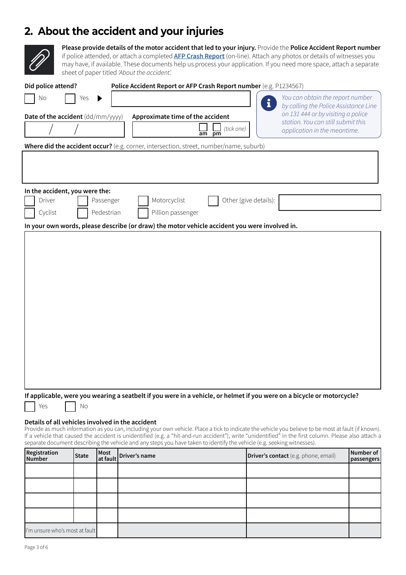### **2. About the accident and your injuries**



**Please provide details of the motor accident that led to your injury.** Provide the **Police Accident Report number** if police attended, or attach a completed **[AFP Crash Report](https://form.act.gov.au/smartforms/landing.htm?formCode=1021)** (on-line). Attach any photos or details of witnesses you may have, if available. These documents help us process your application. If you need more space, attach a separate sheet of paper titled *'About the accident'.* 

| Did police attend?                                                                                                                                                                                                                                                                                                                                                                                                                       |              |                  | Police Accident Report or AFP Crash Report number (e.g. P1234567)                             |                       |                                                                                                                 |                         |
|------------------------------------------------------------------------------------------------------------------------------------------------------------------------------------------------------------------------------------------------------------------------------------------------------------------------------------------------------------------------------------------------------------------------------------------|--------------|------------------|-----------------------------------------------------------------------------------------------|-----------------------|-----------------------------------------------------------------------------------------------------------------|-------------------------|
| No                                                                                                                                                                                                                                                                                                                                                                                                                                       | Yes          |                  |                                                                                               | ı                     | You can obtain the report number<br>by calling the Police Assistance Line<br>on 131 444 or by visiting a police |                         |
| Date of the accident (dd/mm/yyyy)                                                                                                                                                                                                                                                                                                                                                                                                        |              |                  | Approximate time of the accident<br>(tick one)<br>am<br>pm                                    |                       | station. You can still submit this<br>application in the meantime.                                              |                         |
|                                                                                                                                                                                                                                                                                                                                                                                                                                          |              |                  | Where did the accident occur? (e.g. corner, intersection, street, number/name, suburb)        |                       |                                                                                                                 |                         |
|                                                                                                                                                                                                                                                                                                                                                                                                                                          |              |                  |                                                                                               |                       |                                                                                                                 |                         |
| In the accident, you were the:<br>Driver                                                                                                                                                                                                                                                                                                                                                                                                 |              | Passenger        | Motorcyclist                                                                                  | Other (give details): |                                                                                                                 |                         |
| Cyclist                                                                                                                                                                                                                                                                                                                                                                                                                                  |              | Pedestrian       | Pillion passenger                                                                             |                       |                                                                                                                 |                         |
|                                                                                                                                                                                                                                                                                                                                                                                                                                          |              |                  | In your own words, please describe (or draw) the motor vehicle accident you were involved in. |                       |                                                                                                                 |                         |
|                                                                                                                                                                                                                                                                                                                                                                                                                                          |              |                  |                                                                                               |                       |                                                                                                                 |                         |
| If applicable, were you wearing a seatbelt if you were in a vehicle, or helmet if you were on a bicycle or motorcycle?<br>No<br>Yes<br>Details of all vehicles involved in the accident                                                                                                                                                                                                                                                  |              |                  |                                                                                               |                       |                                                                                                                 |                         |
| Provide as much information as you can, including your own vehicle. Place a tick to indicate the vehicle you believe to be most at fault (if known).<br>If a vehicle that caused the accident is unidentified (e.g. a "hit-and-run accident"), write "unidentified" in the first column. Please also attach a<br>separate document describing the vehicle and any steps you have taken to identify the vehicle (e.g. seeking witnesses). |              |                  |                                                                                               |                       |                                                                                                                 |                         |
| Registration<br><b>Number</b>                                                                                                                                                                                                                                                                                                                                                                                                            | <b>State</b> | Most<br>at fault | Driver's name                                                                                 |                       | <b>Driver's contact</b> (e.g. phone, email)                                                                     | Number of<br>passengers |
|                                                                                                                                                                                                                                                                                                                                                                                                                                          |              |                  |                                                                                               |                       |                                                                                                                 |                         |
|                                                                                                                                                                                                                                                                                                                                                                                                                                          |              |                  |                                                                                               |                       |                                                                                                                 |                         |

I'm unsure who's most at fault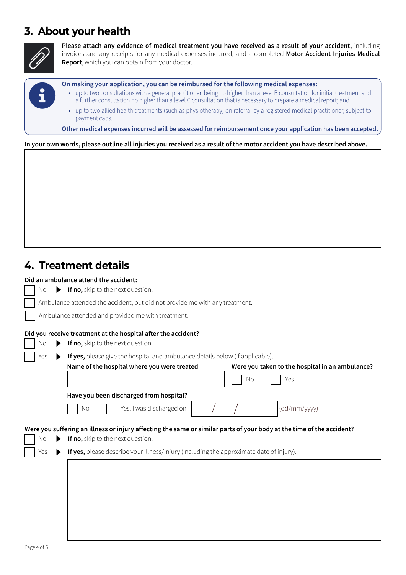### **3. About your health**



8

**Please attach any evidence of medical treatment you have received as a result of your accident,** including invoices and any receipts for any medical expenses incurred, and a completed **Motor Accident Injuries Medical Report**, which you can obtain from your doctor.

**On making your application, you can be reimbursed for the following medical expenses:**

- up to two consultations with a general practitioner, being no higher than a level B consultation for initial treatment and a further consultation no higher than a level C consultation that is necessary to prepare a medical report; and
	- up to two allied health treatments (such as physiotherapy) on referral by a registered medical practitioner, subject to payment caps.

**Other medical expenses incurred will be assessed for reimbursement once your application has been accepted.**

#### **In your own words, please outline all injuries you received as a result of the motor accident you have described above.**

### **4. Treatment details**

#### **Did an ambulance attend the accident:**

| Νo       | If no, skip to the next question.                                                                                                                          |
|----------|------------------------------------------------------------------------------------------------------------------------------------------------------------|
|          | Ambulance attended the accident, but did not provide me with any treatment.                                                                                |
|          | Ambulance attended and provided me with treatment.                                                                                                         |
|          | Did you receive treatment at the hospital after the accident?                                                                                              |
| No       | If no, skip to the next question.                                                                                                                          |
| Yes<br>▶ | If yes, please give the hospital and ambulance details below (if applicable).                                                                              |
|          | Name of the hospital where you were treated<br>Were you taken to the hospital in an ambulance?                                                             |
|          | No<br>Yes                                                                                                                                                  |
|          | Have you been discharged from hospital?                                                                                                                    |
|          | Yes, I was discharged on<br>(dd/mm/yyyy)<br>No                                                                                                             |
| No       | Were you suffering an illness or injury affecting the same or similar parts of your body at the time of the accident?<br>If no, skip to the next question. |
| Yes      | If yes, please describe your illness/injury (including the approximate date of injury).                                                                    |
|          |                                                                                                                                                            |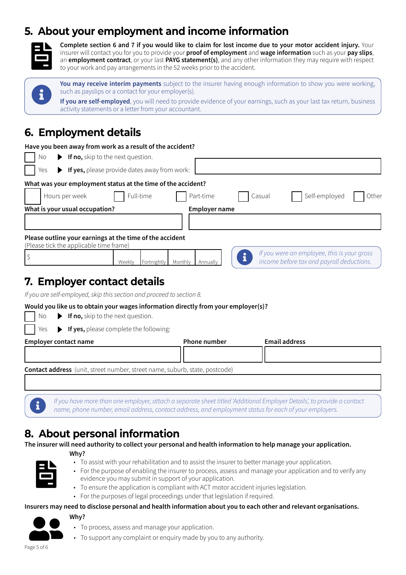### **5. About your employment and income information**



**Complete section 6 and 7 if you would like to claim for lost income due to your motor accident injury.** Your insurer will contact you for you to provide your **proof of employment** and **wage information** such as your **pay slips**, an **employment contract**, or your last **PAYG statement(s)**, and any other information they may require with respect to your work and pay arrangements in the 52 weeks prior to the accident.



**You may receive interim payments** subject to the insurer having enough information to show you were working, such as payslips or a contact for your employer(s).

**If you are self-employed**, you will need to provide evidence of your earnings, such as your last tax return, business activity statements or a letter from your accountant.

### **6. Employment details**

| Have you been away from work as a result of the accident?                                           |                                              |                      |        |                                                                                          |       |
|-----------------------------------------------------------------------------------------------------|----------------------------------------------|----------------------|--------|------------------------------------------------------------------------------------------|-------|
| If no, skip to the next question.<br>No                                                             |                                              |                      |        |                                                                                          |       |
| Yes                                                                                                 | If yes, please provide dates away from work: |                      |        |                                                                                          |       |
| What was your employment status at the time of the accident?                                        |                                              |                      |        |                                                                                          |       |
| Hours per week                                                                                      | Full-time                                    | Part-time            | Casual | Self-employed                                                                            | Other |
| What is your usual occupation?                                                                      |                                              | <b>Employer name</b> |        |                                                                                          |       |
|                                                                                                     |                                              |                      |        |                                                                                          |       |
| Please outline your earnings at the time of the accident<br>(Please tick the applicable time frame) |                                              |                      |        |                                                                                          |       |
| \$                                                                                                  | Fortnightly   Monthly<br>Weekly              | Annually             |        | If you were an employee, this is your gross<br>income before tax and payroll deductions. |       |
| 7. Employer contact details                                                                         |                                              |                      |        |                                                                                          |       |
| If you are self-employed, skip this section and proceed to section 8.                               |                                              |                      |        |                                                                                          |       |
| Would you like us to obtain your wages information directly from your employer(s)?                  |                                              |                      |        |                                                                                          |       |
| If no, skip to the next question.<br>No                                                             |                                              |                      |        |                                                                                          |       |
| If yes, please complete the following:<br>Yes                                                       |                                              |                      |        |                                                                                          |       |
| <b>Employer contact name</b>                                                                        |                                              | Phone number         |        | <b>Email address</b>                                                                     |       |
|                                                                                                     |                                              |                      |        |                                                                                          |       |
| <b>Contact address</b> (unit, street number, street name, suburb, state, postcode)                  |                                              |                      |        |                                                                                          |       |
|                                                                                                     |                                              |                      |        |                                                                                          |       |
|                                                                                                     |                                              |                      |        |                                                                                          |       |

If you have more than one employer, attach a separate sheet titled 'Additional Employer Details', to provide a contact<br>name, phone number, email address, contact address, and employment status for each of your employers.

### **8. About personal information**

**The insurer will need authority to collect your personal and health information to help manage your application.**



**Why?**

- To assist with your rehabilitation and to assist the insurer to better manage your application.
- For the purpose of enabling the insurer to process, assess and manage your application and to verify any evidence you may submit in support of your application.
- To ensure the application is compliant with ACT motor accident injuries legislation.
- For the purposes of legal proceedings under that legislation if required.

#### **Insurers may need to disclose personal and health information about you to each other and relevant organisations.**



昏

• To process, assess and manage your application.<br>• To support any complaint or enquiry made by you to any authority.